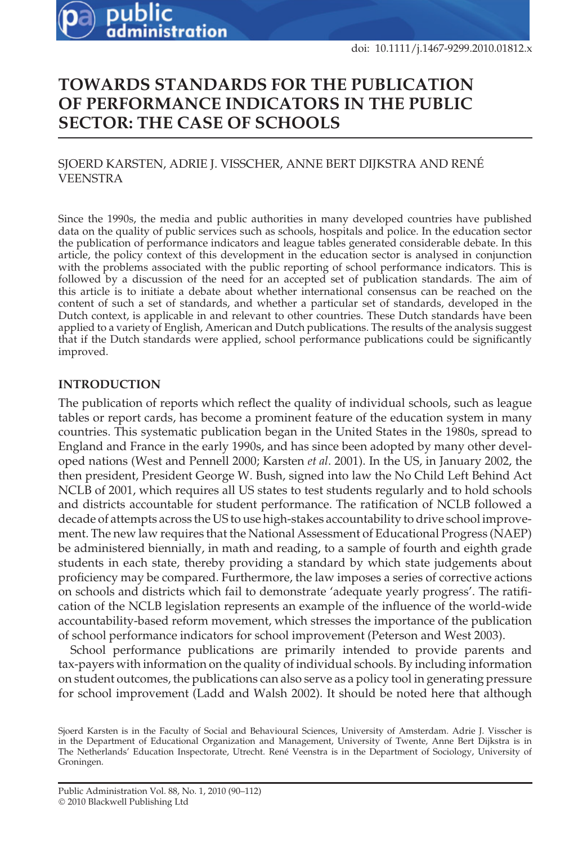# **TOWARDS STANDARDS FOR THE PUBLICATION OF PERFORMANCE INDICATORS IN THE PUBLIC SECTOR: THE CASE OF SCHOOLS**

public<br>administration

# SJOERD KARSTEN, ADRIE J. VISSCHER, ANNE BERT DIJKSTRA AND RENE´ VEENSTRA

Since the 1990s, the media and public authorities in many developed countries have published data on the quality of public services such as schools, hospitals and police. In the education sector the publication of performance indicators and league tables generated considerable debate. In this article, the policy context of this development in the education sector is analysed in conjunction with the problems associated with the public reporting of school performance indicators. This is followed by a discussion of the need for an accepted set of publication standards. The aim of this article is to initiate a debate about whether international consensus can be reached on the content of such a set of standards, and whether a particular set of standards, developed in the Dutch context, is applicable in and relevant to other countries. These Dutch standards have been applied to a variety of English, American and Dutch publications. The results of the analysis suggest that if the Dutch standards were applied, school performance publications could be significantly improved.

### **INTRODUCTION**

The publication of reports which reflect the quality of individual schools, such as league tables or report cards, has become a prominent feature of the education system in many countries. This systematic publication began in the United States in the 1980s, spread to England and France in the early 1990s, and has since been adopted by many other developed nations (West and Pennell 2000; Karsten *et al*. 2001). In the US, in January 2002, the then president, President George W. Bush, signed into law the No Child Left Behind Act NCLB of 2001, which requires all US states to test students regularly and to hold schools and districts accountable for student performance. The ratification of NCLB followed a decade of attempts across the US to use high-stakes accountability to drive school improvement. The new law requires that the National Assessment of Educational Progress (NAEP) be administered biennially, in math and reading, to a sample of fourth and eighth grade students in each state, thereby providing a standard by which state judgements about proficiency may be compared. Furthermore, the law imposes a series of corrective actions on schools and districts which fail to demonstrate 'adequate yearly progress'. The ratification of the NCLB legislation represents an example of the influence of the world-wide accountability-based reform movement, which stresses the importance of the publication of school performance indicators for school improvement (Peterson and West 2003).

School performance publications are primarily intended to provide parents and tax-payers with information on the quality of individual schools. By including information on student outcomes, the publications can also serve as a policy tool in generating pressure for school improvement (Ladd and Walsh 2002). It should be noted here that although

Sjoerd Karsten is in the Faculty of Social and Behavioural Sciences, University of Amsterdam. Adrie J. Visscher is in the Department of Educational Organization and Management, University of Twente, Anne Bert Dijkstra is in The Netherlands' Education Inspectorate, Utrecht. René Veenstra is in the Department of Sociology, University of Groningen.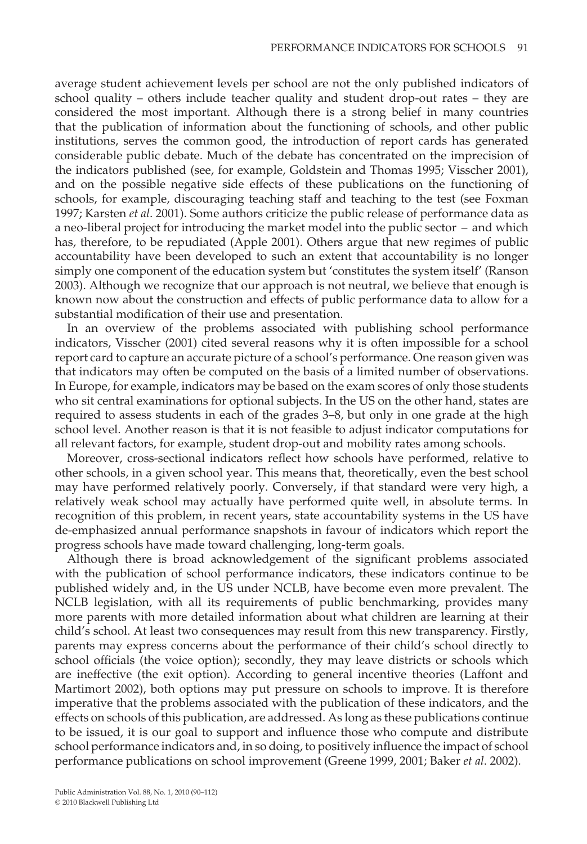average student achievement levels per school are not the only published indicators of school quality – others include teacher quality and student drop-out rates – they are considered the most important. Although there is a strong belief in many countries that the publication of information about the functioning of schools, and other public institutions, serves the common good, the introduction of report cards has generated considerable public debate. Much of the debate has concentrated on the imprecision of the indicators published (see, for example, Goldstein and Thomas 1995; Visscher 2001), and on the possible negative side effects of these publications on the functioning of schools, for example, discouraging teaching staff and teaching to the test (see Foxman 1997; Karsten *et al*. 2001). Some authors criticize the public release of performance data as a neo-liberal project for introducing the market model into the public sector – and which has, therefore, to be repudiated (Apple 2001). Others argue that new regimes of public accountability have been developed to such an extent that accountability is no longer simply one component of the education system but 'constitutes the system itself' (Ranson 2003). Although we recognize that our approach is not neutral, we believe that enough is known now about the construction and effects of public performance data to allow for a substantial modification of their use and presentation.

In an overview of the problems associated with publishing school performance indicators, Visscher (2001) cited several reasons why it is often impossible for a school report card to capture an accurate picture of a school's performance. One reason given was that indicators may often be computed on the basis of a limited number of observations. In Europe, for example, indicators may be based on the exam scores of only those students who sit central examinations for optional subjects. In the US on the other hand, states are required to assess students in each of the grades 3–8, but only in one grade at the high school level. Another reason is that it is not feasible to adjust indicator computations for all relevant factors, for example, student drop-out and mobility rates among schools.

Moreover, cross-sectional indicators reflect how schools have performed, relative to other schools, in a given school year. This means that, theoretically, even the best school may have performed relatively poorly. Conversely, if that standard were very high, a relatively weak school may actually have performed quite well, in absolute terms. In recognition of this problem, in recent years, state accountability systems in the US have de-emphasized annual performance snapshots in favour of indicators which report the progress schools have made toward challenging, long-term goals.

Although there is broad acknowledgement of the significant problems associated with the publication of school performance indicators, these indicators continue to be published widely and, in the US under NCLB, have become even more prevalent. The NCLB legislation, with all its requirements of public benchmarking, provides many more parents with more detailed information about what children are learning at their child's school. At least two consequences may result from this new transparency. Firstly, parents may express concerns about the performance of their child's school directly to school officials (the voice option); secondly, they may leave districts or schools which are ineffective (the exit option). According to general incentive theories (Laffont and Martimort 2002), both options may put pressure on schools to improve. It is therefore imperative that the problems associated with the publication of these indicators, and the effects on schools of this publication, are addressed. As long as these publications continue to be issued, it is our goal to support and influence those who compute and distribute school performance indicators and, in so doing, to positively influence the impact of school performance publications on school improvement (Greene 1999, 2001; Baker *et al*. 2002).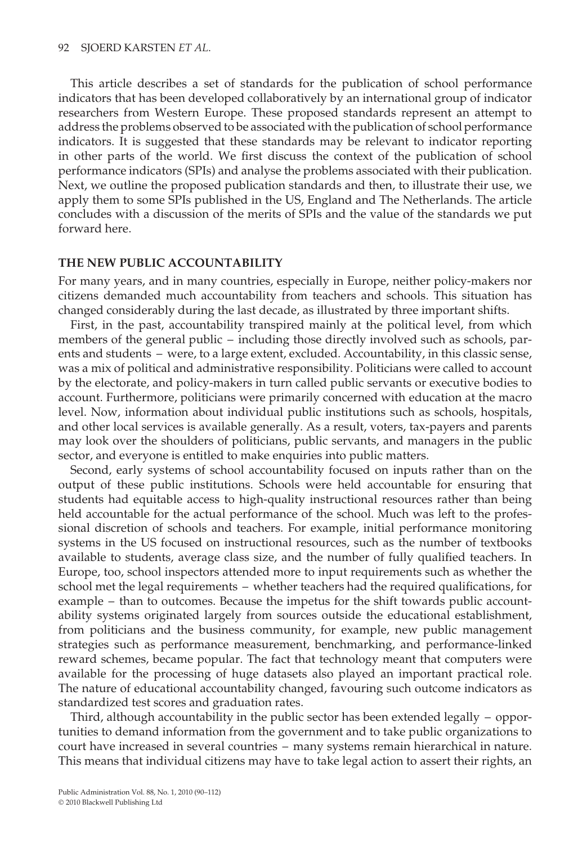This article describes a set of standards for the publication of school performance indicators that has been developed collaboratively by an international group of indicator researchers from Western Europe. These proposed standards represent an attempt to address the problems observed to be associated with the publication of school performance indicators. It is suggested that these standards may be relevant to indicator reporting in other parts of the world. We first discuss the context of the publication of school performance indicators (SPIs) and analyse the problems associated with their publication. Next, we outline the proposed publication standards and then, to illustrate their use, we apply them to some SPIs published in the US, England and The Netherlands. The article concludes with a discussion of the merits of SPIs and the value of the standards we put forward here.

### **THE NEW PUBLIC ACCOUNTABILITY**

For many years, and in many countries, especially in Europe, neither policy-makers nor citizens demanded much accountability from teachers and schools. This situation has changed considerably during the last decade, as illustrated by three important shifts.

First, in the past, accountability transpired mainly at the political level, from which members of the general public – including those directly involved such as schools, parents and students – were, to a large extent, excluded. Accountability, in this classic sense, was a mix of political and administrative responsibility. Politicians were called to account by the electorate, and policy-makers in turn called public servants or executive bodies to account. Furthermore, politicians were primarily concerned with education at the macro level. Now, information about individual public institutions such as schools, hospitals, and other local services is available generally. As a result, voters, tax-payers and parents may look over the shoulders of politicians, public servants, and managers in the public sector, and everyone is entitled to make enquiries into public matters.

Second, early systems of school accountability focused on inputs rather than on the output of these public institutions. Schools were held accountable for ensuring that students had equitable access to high-quality instructional resources rather than being held accountable for the actual performance of the school. Much was left to the professional discretion of schools and teachers. For example, initial performance monitoring systems in the US focused on instructional resources, such as the number of textbooks available to students, average class size, and the number of fully qualified teachers. In Europe, too, school inspectors attended more to input requirements such as whether the school met the legal requirements – whether teachers had the required qualifications, for example – than to outcomes. Because the impetus for the shift towards public accountability systems originated largely from sources outside the educational establishment, from politicians and the business community, for example, new public management strategies such as performance measurement, benchmarking, and performance-linked reward schemes, became popular. The fact that technology meant that computers were available for the processing of huge datasets also played an important practical role. The nature of educational accountability changed, favouring such outcome indicators as standardized test scores and graduation rates.

Third, although accountability in the public sector has been extended legally – opportunities to demand information from the government and to take public organizations to court have increased in several countries – many systems remain hierarchical in nature. This means that individual citizens may have to take legal action to assert their rights, an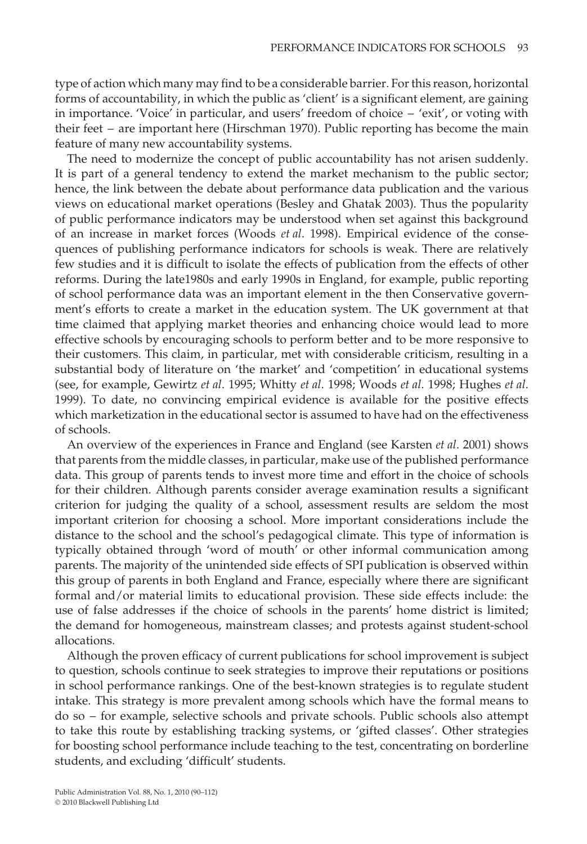type of action which many may find to be a considerable barrier. For this reason, horizontal forms of accountability, in which the public as 'client' is a significant element, are gaining in importance. 'Voice' in particular, and users' freedom of choice – 'exit', or voting with their feet – are important here (Hirschman 1970). Public reporting has become the main feature of many new accountability systems.

The need to modernize the concept of public accountability has not arisen suddenly. It is part of a general tendency to extend the market mechanism to the public sector; hence, the link between the debate about performance data publication and the various views on educational market operations (Besley and Ghatak 2003). Thus the popularity of public performance indicators may be understood when set against this background of an increase in market forces (Woods *et al*. 1998). Empirical evidence of the consequences of publishing performance indicators for schools is weak. There are relatively few studies and it is difficult to isolate the effects of publication from the effects of other reforms. During the late1980s and early 1990s in England, for example, public reporting of school performance data was an important element in the then Conservative government's efforts to create a market in the education system. The UK government at that time claimed that applying market theories and enhancing choice would lead to more effective schools by encouraging schools to perform better and to be more responsive to their customers. This claim, in particular, met with considerable criticism, resulting in a substantial body of literature on 'the market' and 'competition' in educational systems (see, for example, Gewirtz *et al*. 1995; Whitty *et al*. 1998; Woods *et al*. 1998; Hughes *et al*. 1999). To date, no convincing empirical evidence is available for the positive effects which marketization in the educational sector is assumed to have had on the effectiveness of schools.

An overview of the experiences in France and England (see Karsten *et al*. 2001) shows that parents from the middle classes, in particular, make use of the published performance data. This group of parents tends to invest more time and effort in the choice of schools for their children. Although parents consider average examination results a significant criterion for judging the quality of a school, assessment results are seldom the most important criterion for choosing a school. More important considerations include the distance to the school and the school's pedagogical climate. This type of information is typically obtained through 'word of mouth' or other informal communication among parents. The majority of the unintended side effects of SPI publication is observed within this group of parents in both England and France, especially where there are significant formal and/or material limits to educational provision. These side effects include: the use of false addresses if the choice of schools in the parents' home district is limited; the demand for homogeneous, mainstream classes; and protests against student-school allocations.

Although the proven efficacy of current publications for school improvement is subject to question, schools continue to seek strategies to improve their reputations or positions in school performance rankings. One of the best-known strategies is to regulate student intake. This strategy is more prevalent among schools which have the formal means to do so – for example, selective schools and private schools. Public schools also attempt to take this route by establishing tracking systems, or 'gifted classes'. Other strategies for boosting school performance include teaching to the test, concentrating on borderline students, and excluding 'difficult' students.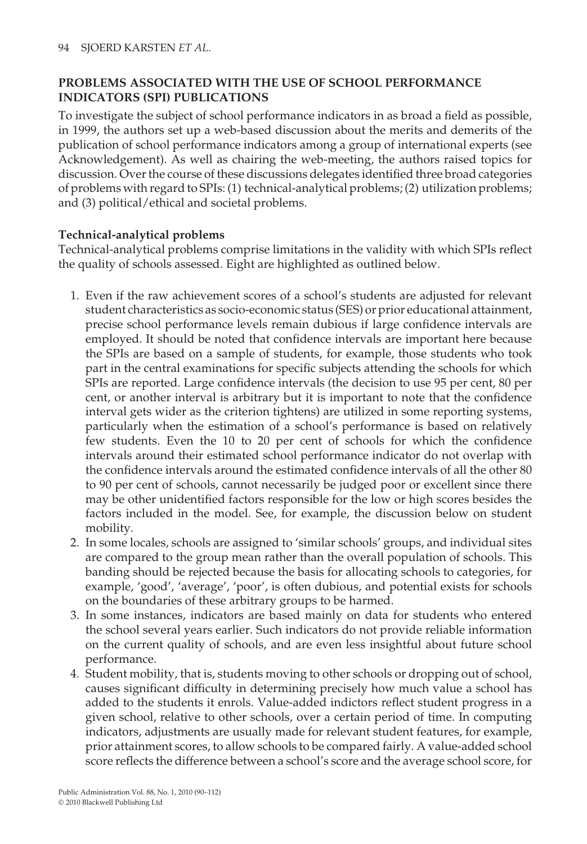# **PROBLEMS ASSOCIATED WITH THE USE OF SCHOOL PERFORMANCE INDICATORS (SPI) PUBLICATIONS**

To investigate the subject of school performance indicators in as broad a field as possible, in 1999, the authors set up a web-based discussion about the merits and demerits of the publication of school performance indicators among a group of international experts (see Acknowledgement). As well as chairing the web-meeting, the authors raised topics for discussion. Over the course of these discussions delegates identified three broad categories of problems with regard to SPIs: (1) technical-analytical problems; (2) utilization problems; and (3) political/ethical and societal problems.

# **Technical-analytical problems**

Technical-analytical problems comprise limitations in the validity with which SPIs reflect the quality of schools assessed. Eight are highlighted as outlined below.

- 1. Even if the raw achievement scores of a school's students are adjusted for relevant student characteristics as socio-economic status (SES) or prior educational attainment, precise school performance levels remain dubious if large confidence intervals are employed. It should be noted that confidence intervals are important here because the SPIs are based on a sample of students, for example, those students who took part in the central examinations for specific subjects attending the schools for which SPIs are reported. Large confidence intervals (the decision to use 95 per cent, 80 per cent, or another interval is arbitrary but it is important to note that the confidence interval gets wider as the criterion tightens) are utilized in some reporting systems, particularly when the estimation of a school's performance is based on relatively few students. Even the 10 to 20 per cent of schools for which the confidence intervals around their estimated school performance indicator do not overlap with the confidence intervals around the estimated confidence intervals of all the other 80 to 90 per cent of schools, cannot necessarily be judged poor or excellent since there may be other unidentified factors responsible for the low or high scores besides the factors included in the model. See, for example, the discussion below on student mobility.
- 2. In some locales, schools are assigned to 'similar schools' groups, and individual sites are compared to the group mean rather than the overall population of schools. This banding should be rejected because the basis for allocating schools to categories, for example, 'good', 'average', 'poor', is often dubious, and potential exists for schools on the boundaries of these arbitrary groups to be harmed.
- 3. In some instances, indicators are based mainly on data for students who entered the school several years earlier. Such indicators do not provide reliable information on the current quality of schools, and are even less insightful about future school performance.
- 4. Student mobility, that is, students moving to other schools or dropping out of school, causes significant difficulty in determining precisely how much value a school has added to the students it enrols. Value-added indictors reflect student progress in a given school, relative to other schools, over a certain period of time. In computing indicators, adjustments are usually made for relevant student features, for example, prior attainment scores, to allow schools to be compared fairly. A value-added school score reflects the difference between a school's score and the average school score, for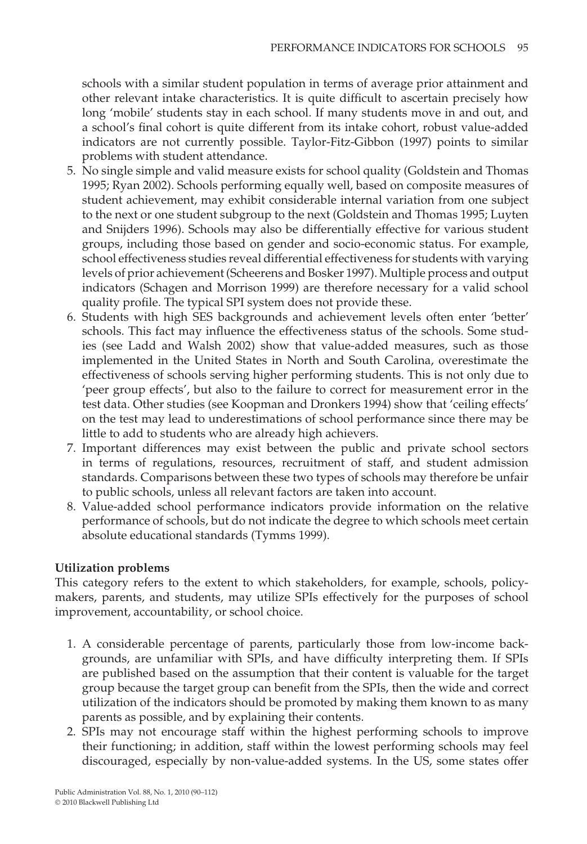schools with a similar student population in terms of average prior attainment and other relevant intake characteristics. It is quite difficult to ascertain precisely how long 'mobile' students stay in each school. If many students move in and out, and a school's final cohort is quite different from its intake cohort, robust value-added indicators are not currently possible. Taylor-Fitz-Gibbon (1997) points to similar problems with student attendance.

- 5. No single simple and valid measure exists for school quality (Goldstein and Thomas 1995; Ryan 2002). Schools performing equally well, based on composite measures of student achievement, may exhibit considerable internal variation from one subject to the next or one student subgroup to the next (Goldstein and Thomas 1995; Luyten and Snijders 1996). Schools may also be differentially effective for various student groups, including those based on gender and socio-economic status. For example, school effectiveness studies reveal differential effectiveness for students with varying levels of prior achievement (Scheerens and Bosker 1997). Multiple process and output indicators (Schagen and Morrison 1999) are therefore necessary for a valid school quality profile. The typical SPI system does not provide these.
- 6. Students with high SES backgrounds and achievement levels often enter 'better' schools. This fact may influence the effectiveness status of the schools. Some studies (see Ladd and Walsh 2002) show that value-added measures, such as those implemented in the United States in North and South Carolina, overestimate the effectiveness of schools serving higher performing students. This is not only due to 'peer group effects', but also to the failure to correct for measurement error in the test data. Other studies (see Koopman and Dronkers 1994) show that 'ceiling effects' on the test may lead to underestimations of school performance since there may be little to add to students who are already high achievers.
- 7. Important differences may exist between the public and private school sectors in terms of regulations, resources, recruitment of staff, and student admission standards. Comparisons between these two types of schools may therefore be unfair to public schools, unless all relevant factors are taken into account.
- 8. Value-added school performance indicators provide information on the relative performance of schools, but do not indicate the degree to which schools meet certain absolute educational standards (Tymms 1999).

# **Utilization problems**

This category refers to the extent to which stakeholders, for example, schools, policymakers, parents, and students, may utilize SPIs effectively for the purposes of school improvement, accountability, or school choice.

- 1. A considerable percentage of parents, particularly those from low-income backgrounds, are unfamiliar with SPIs, and have difficulty interpreting them. If SPIs are published based on the assumption that their content is valuable for the target group because the target group can benefit from the SPIs, then the wide and correct utilization of the indicators should be promoted by making them known to as many parents as possible, and by explaining their contents.
- 2. SPIs may not encourage staff within the highest performing schools to improve their functioning; in addition, staff within the lowest performing schools may feel discouraged, especially by non-value-added systems. In the US, some states offer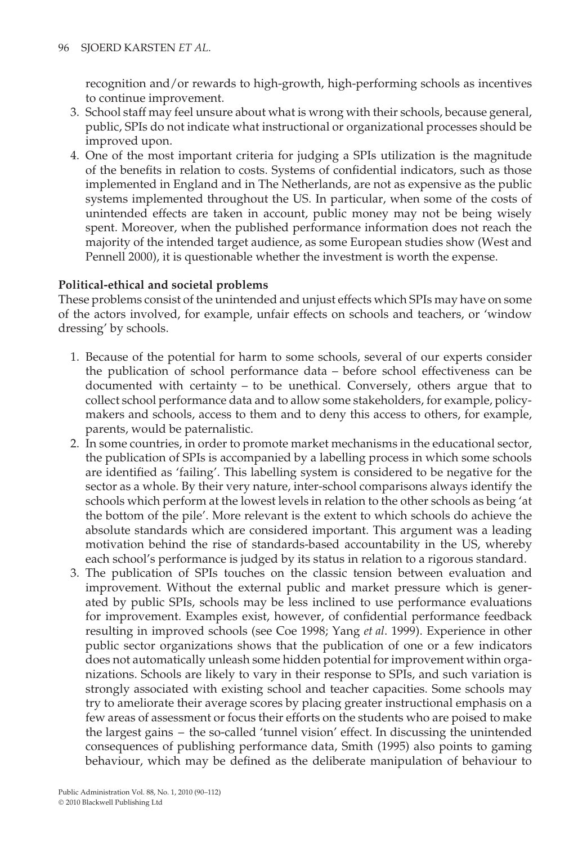recognition and/or rewards to high-growth, high-performing schools as incentives to continue improvement.

- 3. School staff may feel unsure about what is wrong with their schools, because general, public, SPIs do not indicate what instructional or organizational processes should be improved upon.
- 4. One of the most important criteria for judging a SPIs utilization is the magnitude of the benefits in relation to costs. Systems of confidential indicators, such as those implemented in England and in The Netherlands, are not as expensive as the public systems implemented throughout the US. In particular, when some of the costs of unintended effects are taken in account, public money may not be being wisely spent. Moreover, when the published performance information does not reach the majority of the intended target audience, as some European studies show (West and Pennell 2000), it is questionable whether the investment is worth the expense.

# **Political-ethical and societal problems**

These problems consist of the unintended and unjust effects which SPIs may have on some of the actors involved, for example, unfair effects on schools and teachers, or 'window dressing' by schools.

- 1. Because of the potential for harm to some schools, several of our experts consider the publication of school performance data – before school effectiveness can be documented with certainty – to be unethical. Conversely, others argue that to collect school performance data and to allow some stakeholders, for example, policymakers and schools, access to them and to deny this access to others, for example, parents, would be paternalistic.
- 2. In some countries, in order to promote market mechanisms in the educational sector, the publication of SPIs is accompanied by a labelling process in which some schools are identified as 'failing'. This labelling system is considered to be negative for the sector as a whole. By their very nature, inter-school comparisons always identify the schools which perform at the lowest levels in relation to the other schools as being 'at the bottom of the pile'. More relevant is the extent to which schools do achieve the absolute standards which are considered important. This argument was a leading motivation behind the rise of standards-based accountability in the US, whereby each school's performance is judged by its status in relation to a rigorous standard.
- 3. The publication of SPIs touches on the classic tension between evaluation and improvement. Without the external public and market pressure which is generated by public SPIs, schools may be less inclined to use performance evaluations for improvement. Examples exist, however, of confidential performance feedback resulting in improved schools (see Coe 1998; Yang *et al*. 1999). Experience in other public sector organizations shows that the publication of one or a few indicators does not automatically unleash some hidden potential for improvement within organizations. Schools are likely to vary in their response to SPIs, and such variation is strongly associated with existing school and teacher capacities. Some schools may try to ameliorate their average scores by placing greater instructional emphasis on a few areas of assessment or focus their efforts on the students who are poised to make the largest gains – the so-called 'tunnel vision' effect. In discussing the unintended consequences of publishing performance data, Smith (1995) also points to gaming behaviour, which may be defined as the deliberate manipulation of behaviour to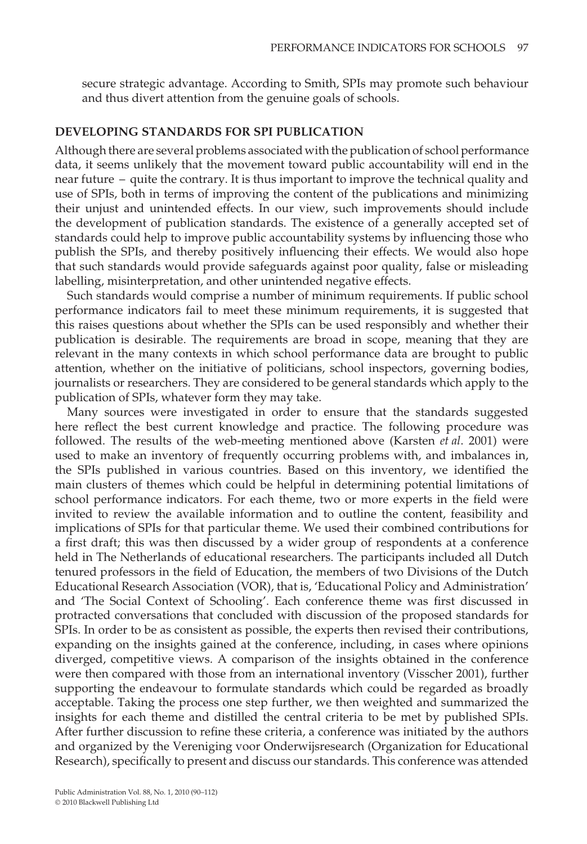secure strategic advantage. According to Smith, SPIs may promote such behaviour and thus divert attention from the genuine goals of schools.

### **DEVELOPING STANDARDS FOR SPI PUBLICATION**

Although there are several problems associated with the publication of school performance data, it seems unlikely that the movement toward public accountability will end in the near future – quite the contrary. It is thus important to improve the technical quality and use of SPIs, both in terms of improving the content of the publications and minimizing their unjust and unintended effects. In our view, such improvements should include the development of publication standards. The existence of a generally accepted set of standards could help to improve public accountability systems by influencing those who publish the SPIs, and thereby positively influencing their effects. We would also hope that such standards would provide safeguards against poor quality, false or misleading labelling, misinterpretation, and other unintended negative effects.

Such standards would comprise a number of minimum requirements. If public school performance indicators fail to meet these minimum requirements, it is suggested that this raises questions about whether the SPIs can be used responsibly and whether their publication is desirable. The requirements are broad in scope, meaning that they are relevant in the many contexts in which school performance data are brought to public attention, whether on the initiative of politicians, school inspectors, governing bodies, journalists or researchers. They are considered to be general standards which apply to the publication of SPIs, whatever form they may take.

Many sources were investigated in order to ensure that the standards suggested here reflect the best current knowledge and practice. The following procedure was followed. The results of the web-meeting mentioned above (Karsten *et al*. 2001) were used to make an inventory of frequently occurring problems with, and imbalances in, the SPIs published in various countries. Based on this inventory, we identified the main clusters of themes which could be helpful in determining potential limitations of school performance indicators. For each theme, two or more experts in the field were invited to review the available information and to outline the content, feasibility and implications of SPIs for that particular theme. We used their combined contributions for a first draft; this was then discussed by a wider group of respondents at a conference held in The Netherlands of educational researchers. The participants included all Dutch tenured professors in the field of Education, the members of two Divisions of the Dutch Educational Research Association (VOR), that is, 'Educational Policy and Administration' and 'The Social Context of Schooling'. Each conference theme was first discussed in protracted conversations that concluded with discussion of the proposed standards for SPIs. In order to be as consistent as possible, the experts then revised their contributions, expanding on the insights gained at the conference, including, in cases where opinions diverged, competitive views. A comparison of the insights obtained in the conference were then compared with those from an international inventory (Visscher 2001), further supporting the endeavour to formulate standards which could be regarded as broadly acceptable. Taking the process one step further, we then weighted and summarized the insights for each theme and distilled the central criteria to be met by published SPIs. After further discussion to refine these criteria, a conference was initiated by the authors and organized by the Vereniging voor Onderwijsresearch (Organization for Educational Research), specifically to present and discuss our standards. This conference was attended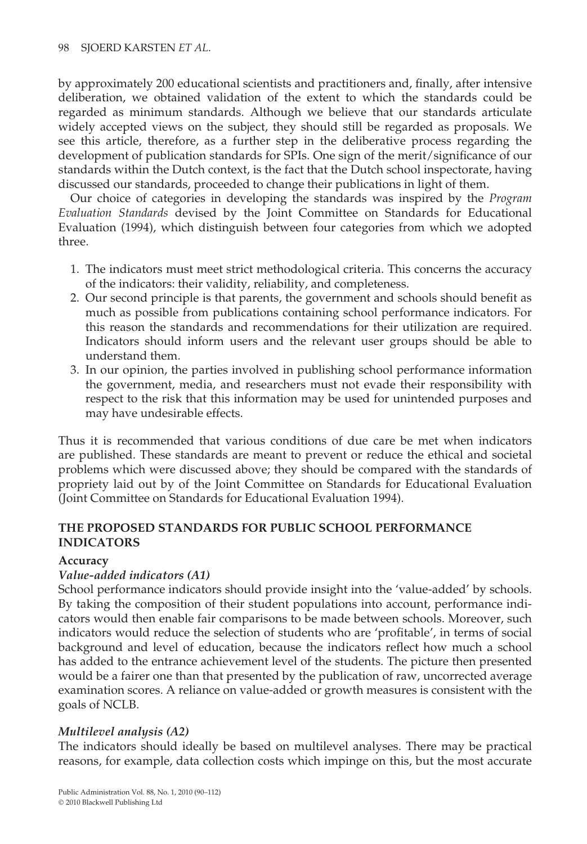by approximately 200 educational scientists and practitioners and, finally, after intensive deliberation, we obtained validation of the extent to which the standards could be regarded as minimum standards. Although we believe that our standards articulate widely accepted views on the subject, they should still be regarded as proposals. We see this article, therefore, as a further step in the deliberative process regarding the development of publication standards for SPIs. One sign of the merit/significance of our standards within the Dutch context, is the fact that the Dutch school inspectorate, having discussed our standards, proceeded to change their publications in light of them.

Our choice of categories in developing the standards was inspired by the *Program Evaluation Standards* devised by the Joint Committee on Standards for Educational Evaluation (1994), which distinguish between four categories from which we adopted three.

- 1. The indicators must meet strict methodological criteria. This concerns the accuracy of the indicators: their validity, reliability, and completeness.
- 2. Our second principle is that parents, the government and schools should benefit as much as possible from publications containing school performance indicators. For this reason the standards and recommendations for their utilization are required. Indicators should inform users and the relevant user groups should be able to understand them.
- 3. In our opinion, the parties involved in publishing school performance information the government, media, and researchers must not evade their responsibility with respect to the risk that this information may be used for unintended purposes and may have undesirable effects.

Thus it is recommended that various conditions of due care be met when indicators are published. These standards are meant to prevent or reduce the ethical and societal problems which were discussed above; they should be compared with the standards of propriety laid out by of the Joint Committee on Standards for Educational Evaluation (Joint Committee on Standards for Educational Evaluation 1994).

# **THE PROPOSED STANDARDS FOR PUBLIC SCHOOL PERFORMANCE INDICATORS**

# **Accuracy**

# *Value-added indicators (A1)*

School performance indicators should provide insight into the 'value-added' by schools. By taking the composition of their student populations into account, performance indicators would then enable fair comparisons to be made between schools. Moreover, such indicators would reduce the selection of students who are 'profitable', in terms of social background and level of education, because the indicators reflect how much a school has added to the entrance achievement level of the students. The picture then presented would be a fairer one than that presented by the publication of raw, uncorrected average examination scores. A reliance on value-added or growth measures is consistent with the goals of NCLB.

# *Multilevel analysis (A2)*

The indicators should ideally be based on multilevel analyses. There may be practical reasons, for example, data collection costs which impinge on this, but the most accurate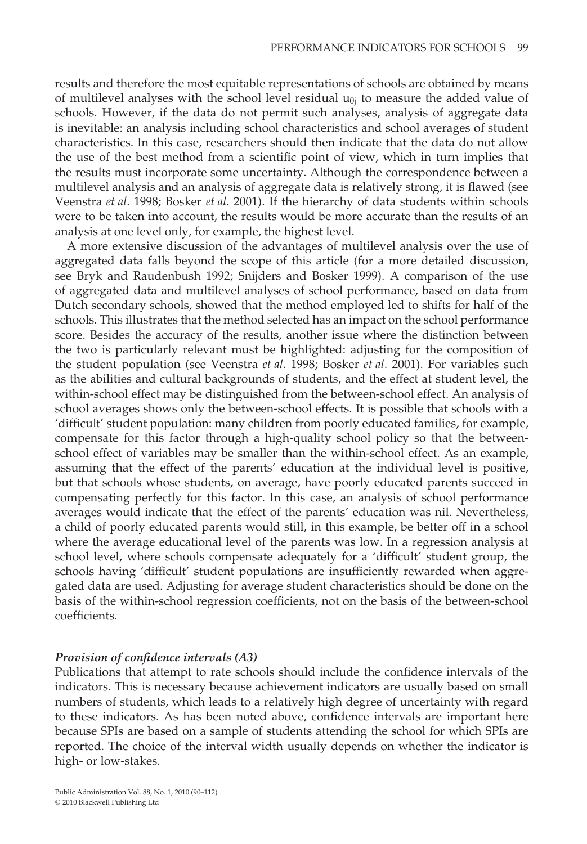results and therefore the most equitable representations of schools are obtained by means of multilevel analyses with the school level residual  $u_{0i}$  to measure the added value of schools. However, if the data do not permit such analyses, analysis of aggregate data is inevitable: an analysis including school characteristics and school averages of student characteristics. In this case, researchers should then indicate that the data do not allow the use of the best method from a scientific point of view, which in turn implies that the results must incorporate some uncertainty. Although the correspondence between a multilevel analysis and an analysis of aggregate data is relatively strong, it is flawed (see Veenstra *et al*. 1998; Bosker *et al*. 2001). If the hierarchy of data students within schools were to be taken into account, the results would be more accurate than the results of an analysis at one level only, for example, the highest level.

A more extensive discussion of the advantages of multilevel analysis over the use of aggregated data falls beyond the scope of this article (for a more detailed discussion, see Bryk and Raudenbush 1992; Snijders and Bosker 1999). A comparison of the use of aggregated data and multilevel analyses of school performance, based on data from Dutch secondary schools, showed that the method employed led to shifts for half of the schools. This illustrates that the method selected has an impact on the school performance score. Besides the accuracy of the results, another issue where the distinction between the two is particularly relevant must be highlighted: adjusting for the composition of the student population (see Veenstra *et al*. 1998; Bosker *et al*. 2001). For variables such as the abilities and cultural backgrounds of students, and the effect at student level, the within-school effect may be distinguished from the between-school effect. An analysis of school averages shows only the between-school effects. It is possible that schools with a 'difficult' student population: many children from poorly educated families, for example, compensate for this factor through a high-quality school policy so that the betweenschool effect of variables may be smaller than the within-school effect. As an example, assuming that the effect of the parents' education at the individual level is positive, but that schools whose students, on average, have poorly educated parents succeed in compensating perfectly for this factor. In this case, an analysis of school performance averages would indicate that the effect of the parents' education was nil. Nevertheless, a child of poorly educated parents would still, in this example, be better off in a school where the average educational level of the parents was low. In a regression analysis at school level, where schools compensate adequately for a 'difficult' student group, the schools having 'difficult' student populations are insufficiently rewarded when aggregated data are used. Adjusting for average student characteristics should be done on the basis of the within-school regression coefficients, not on the basis of the between-school coefficients.

#### *Provision of confidence intervals (A3)*

Publications that attempt to rate schools should include the confidence intervals of the indicators. This is necessary because achievement indicators are usually based on small numbers of students, which leads to a relatively high degree of uncertainty with regard to these indicators. As has been noted above, confidence intervals are important here because SPIs are based on a sample of students attending the school for which SPIs are reported. The choice of the interval width usually depends on whether the indicator is high- or low-stakes.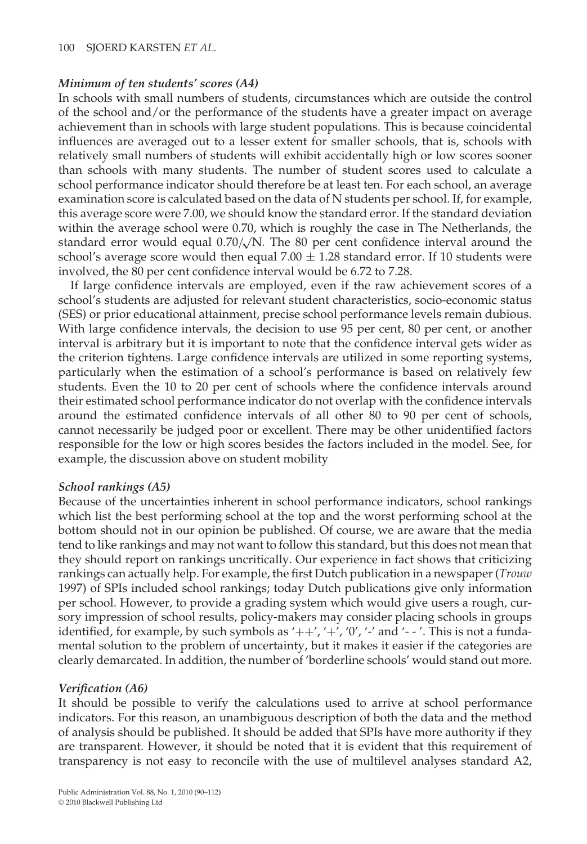#### *Minimum of ten students' scores (A4)*

In schools with small numbers of students, circumstances which are outside the control of the school and/or the performance of the students have a greater impact on average achievement than in schools with large student populations. This is because coincidental influences are averaged out to a lesser extent for smaller schools, that is, schools with relatively small numbers of students will exhibit accidentally high or low scores sooner than schools with many students. The number of student scores used to calculate a school performance indicator should therefore be at least ten. For each school, an average examination score is calculated based on the data of N students per school. If, for example, this average score were 7.00, we should know the standard error. If the standard deviation within the average school were 0.70, which is roughly the case in The Netherlands, the standard error would equal 0*.*70*/* <sup>√</sup>N. The 80 per cent confidence interval around the school's average score would then equal  $7.00 \pm 1.28$  standard error. If 10 students were involved, the 80 per cent confidence interval would be 6.72 to 7.28.

If large confidence intervals are employed, even if the raw achievement scores of a school's students are adjusted for relevant student characteristics, socio-economic status (SES) or prior educational attainment, precise school performance levels remain dubious. With large confidence intervals, the decision to use 95 per cent, 80 per cent, or another interval is arbitrary but it is important to note that the confidence interval gets wider as the criterion tightens. Large confidence intervals are utilized in some reporting systems, particularly when the estimation of a school's performance is based on relatively few students. Even the 10 to 20 per cent of schools where the confidence intervals around their estimated school performance indicator do not overlap with the confidence intervals around the estimated confidence intervals of all other 80 to 90 per cent of schools, cannot necessarily be judged poor or excellent. There may be other unidentified factors responsible for the low or high scores besides the factors included in the model. See, for example, the discussion above on student mobility

### *School rankings (A5)*

Because of the uncertainties inherent in school performance indicators, school rankings which list the best performing school at the top and the worst performing school at the bottom should not in our opinion be published. Of course, we are aware that the media tend to like rankings and may not want to follow this standard, but this does not mean that they should report on rankings uncritically. Our experience in fact shows that criticizing rankings can actually help. For example, the first Dutch publication in a newspaper (*Trouw* 1997) of SPIs included school rankings; today Dutch publications give only information per school. However, to provide a grading system which would give users a rough, cursory impression of school results, policy-makers may consider placing schools in groups identified, for example, by such symbols as  $'++', '+', '0', '-'$  and  $'--'$ . This is not a fundamental solution to the problem of uncertainty, but it makes it easier if the categories are clearly demarcated. In addition, the number of 'borderline schools' would stand out more.

#### *Verification (A6)*

It should be possible to verify the calculations used to arrive at school performance indicators. For this reason, an unambiguous description of both the data and the method of analysis should be published. It should be added that SPIs have more authority if they are transparent. However, it should be noted that it is evident that this requirement of transparency is not easy to reconcile with the use of multilevel analyses standard A2,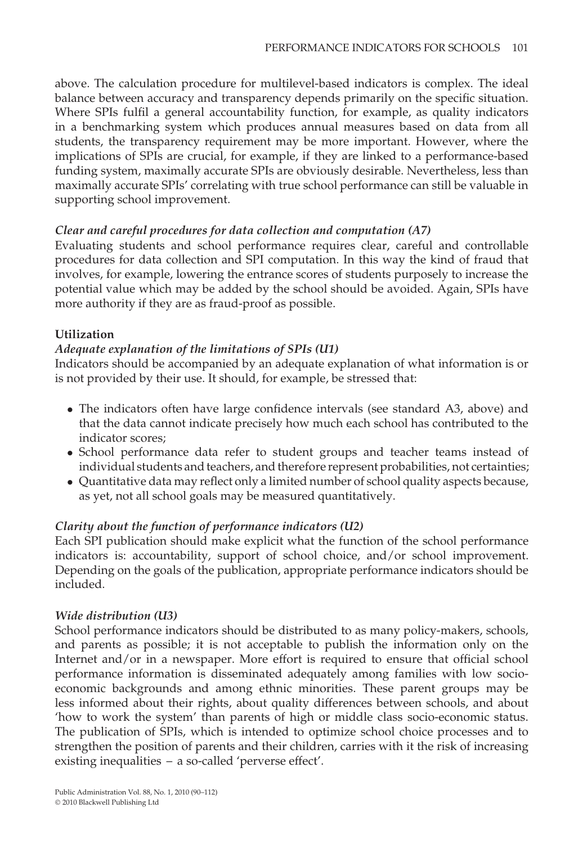above. The calculation procedure for multilevel-based indicators is complex. The ideal balance between accuracy and transparency depends primarily on the specific situation. Where SPIs fulfil a general accountability function, for example, as quality indicators in a benchmarking system which produces annual measures based on data from all students, the transparency requirement may be more important. However, where the implications of SPIs are crucial, for example, if they are linked to a performance-based funding system, maximally accurate SPIs are obviously desirable. Nevertheless, less than maximally accurate SPIs' correlating with true school performance can still be valuable in supporting school improvement.

# *Clear and careful procedures for data collection and computation (A7)*

Evaluating students and school performance requires clear, careful and controllable procedures for data collection and SPI computation. In this way the kind of fraud that involves, for example, lowering the entrance scores of students purposely to increase the potential value which may be added by the school should be avoided. Again, SPIs have more authority if they are as fraud-proof as possible.

# **Utilization**

# *Adequate explanation of the limitations of SPIs (U1)*

Indicators should be accompanied by an adequate explanation of what information is or is not provided by their use. It should, for example, be stressed that:

- The indicators often have large confidence intervals (see standard A3, above) and that the data cannot indicate precisely how much each school has contributed to the indicator scores;
- School performance data refer to student groups and teacher teams instead of individual students and teachers, and therefore represent probabilities, not certainties;
- Quantitative data may reflect only a limited number of school quality aspects because, as yet, not all school goals may be measured quantitatively.

# *Clarity about the function of performance indicators (U2)*

Each SPI publication should make explicit what the function of the school performance indicators is: accountability, support of school choice, and/or school improvement. Depending on the goals of the publication, appropriate performance indicators should be included.

# *Wide distribution (U3)*

School performance indicators should be distributed to as many policy-makers, schools, and parents as possible; it is not acceptable to publish the information only on the Internet and/or in a newspaper. More effort is required to ensure that official school performance information is disseminated adequately among families with low socioeconomic backgrounds and among ethnic minorities. These parent groups may be less informed about their rights, about quality differences between schools, and about 'how to work the system' than parents of high or middle class socio-economic status. The publication of SPIs, which is intended to optimize school choice processes and to strengthen the position of parents and their children, carries with it the risk of increasing existing inequalities – a so-called 'perverse effect'.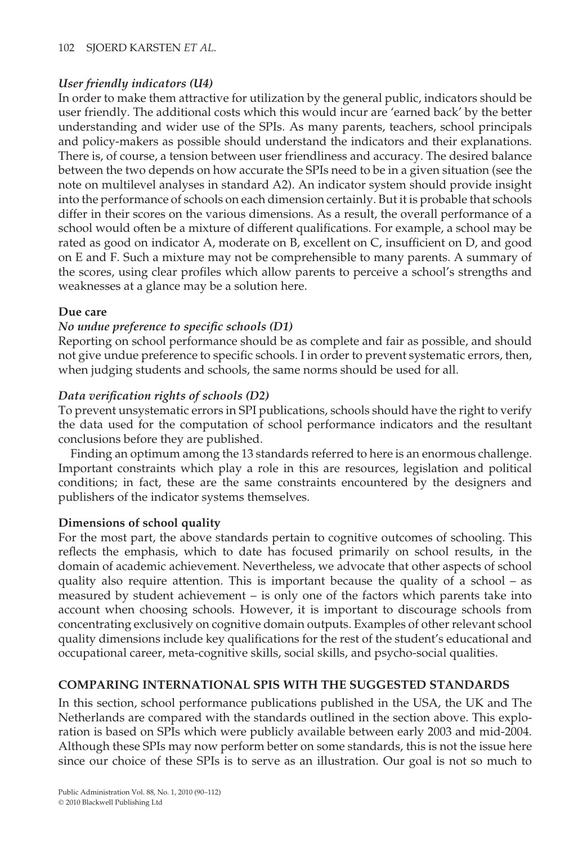# *User friendly indicators (U4)*

In order to make them attractive for utilization by the general public, indicators should be user friendly. The additional costs which this would incur are 'earned back' by the better understanding and wider use of the SPIs. As many parents, teachers, school principals and policy-makers as possible should understand the indicators and their explanations. There is, of course, a tension between user friendliness and accuracy. The desired balance between the two depends on how accurate the SPIs need to be in a given situation (see the note on multilevel analyses in standard A2). An indicator system should provide insight into the performance of schools on each dimension certainly. But it is probable that schools differ in their scores on the various dimensions. As a result, the overall performance of a school would often be a mixture of different qualifications. For example, a school may be rated as good on indicator A, moderate on B, excellent on C, insufficient on D, and good on E and F. Such a mixture may not be comprehensible to many parents. A summary of the scores, using clear profiles which allow parents to perceive a school's strengths and weaknesses at a glance may be a solution here.

# **Due care**

# *No undue preference to specific schools (D1)*

Reporting on school performance should be as complete and fair as possible, and should not give undue preference to specific schools. I in order to prevent systematic errors, then, when judging students and schools, the same norms should be used for all.

# *Data verification rights of schools (D2)*

To prevent unsystematic errors in SPI publications, schools should have the right to verify the data used for the computation of school performance indicators and the resultant conclusions before they are published.

Finding an optimum among the 13 standards referred to here is an enormous challenge. Important constraints which play a role in this are resources, legislation and political conditions; in fact, these are the same constraints encountered by the designers and publishers of the indicator systems themselves.

# **Dimensions of school quality**

For the most part, the above standards pertain to cognitive outcomes of schooling. This reflects the emphasis, which to date has focused primarily on school results, in the domain of academic achievement. Nevertheless, we advocate that other aspects of school quality also require attention. This is important because the quality of a school – as measured by student achievement – is only one of the factors which parents take into account when choosing schools. However, it is important to discourage schools from concentrating exclusively on cognitive domain outputs. Examples of other relevant school quality dimensions include key qualifications for the rest of the student's educational and occupational career, meta-cognitive skills, social skills, and psycho-social qualities.

# **COMPARING INTERNATIONAL SPIS WITH THE SUGGESTED STANDARDS**

In this section, school performance publications published in the USA, the UK and The Netherlands are compared with the standards outlined in the section above. This exploration is based on SPIs which were publicly available between early 2003 and mid-2004. Although these SPIs may now perform better on some standards, this is not the issue here since our choice of these SPIs is to serve as an illustration. Our goal is not so much to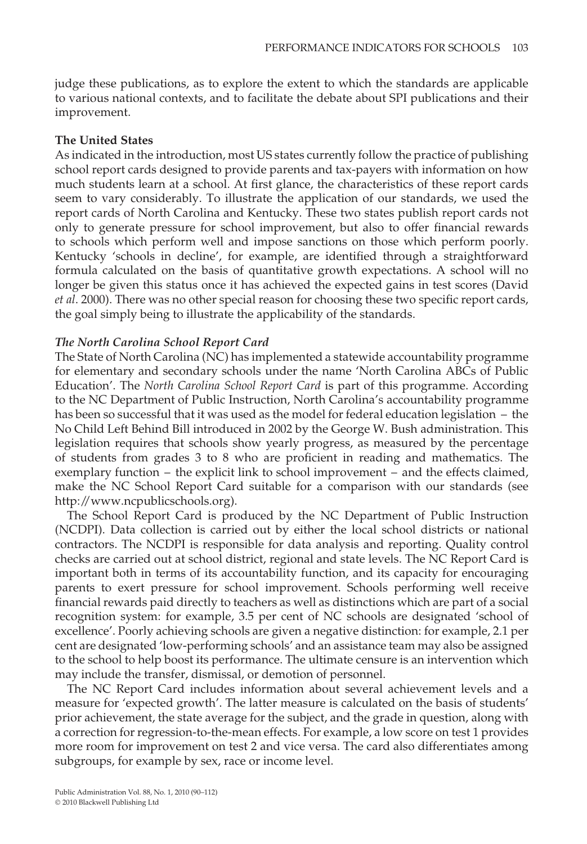judge these publications, as to explore the extent to which the standards are applicable to various national contexts, and to facilitate the debate about SPI publications and their improvement.

### **The United States**

As indicated in the introduction, most US states currently follow the practice of publishing school report cards designed to provide parents and tax-payers with information on how much students learn at a school. At first glance, the characteristics of these report cards seem to vary considerably. To illustrate the application of our standards, we used the report cards of North Carolina and Kentucky. These two states publish report cards not only to generate pressure for school improvement, but also to offer financial rewards to schools which perform well and impose sanctions on those which perform poorly. Kentucky 'schools in decline', for example, are identified through a straightforward formula calculated on the basis of quantitative growth expectations. A school will no longer be given this status once it has achieved the expected gains in test scores (David *et al*. 2000). There was no other special reason for choosing these two specific report cards, the goal simply being to illustrate the applicability of the standards.

### *The North Carolina School Report Card*

The State of North Carolina (NC) has implemented a statewide accountability programme for elementary and secondary schools under the name 'North Carolina ABCs of Public Education'. The *North Carolina School Report Card* is part of this programme. According to the NC Department of Public Instruction, North Carolina's accountability programme has been so successful that it was used as the model for federal education legislation – the No Child Left Behind Bill introduced in 2002 by the George W. Bush administration. This legislation requires that schools show yearly progress, as measured by the percentage of students from grades 3 to 8 who are proficient in reading and mathematics. The exemplary function – the explicit link to school improvement – and the effects claimed, make the NC School Report Card suitable for a comparison with our standards (see http://www.ncpublicschools.org).

The School Report Card is produced by the NC Department of Public Instruction (NCDPI). Data collection is carried out by either the local school districts or national contractors. The NCDPI is responsible for data analysis and reporting. Quality control checks are carried out at school district, regional and state levels. The NC Report Card is important both in terms of its accountability function, and its capacity for encouraging parents to exert pressure for school improvement. Schools performing well receive financial rewards paid directly to teachers as well as distinctions which are part of a social recognition system: for example, 3.5 per cent of NC schools are designated 'school of excellence'. Poorly achieving schools are given a negative distinction: for example, 2.1 per cent are designated 'low-performing schools' and an assistance team may also be assigned to the school to help boost its performance. The ultimate censure is an intervention which may include the transfer, dismissal, or demotion of personnel.

The NC Report Card includes information about several achievement levels and a measure for 'expected growth'. The latter measure is calculated on the basis of students' prior achievement, the state average for the subject, and the grade in question, along with a correction for regression-to-the-mean effects. For example, a low score on test 1 provides more room for improvement on test 2 and vice versa. The card also differentiates among subgroups, for example by sex, race or income level.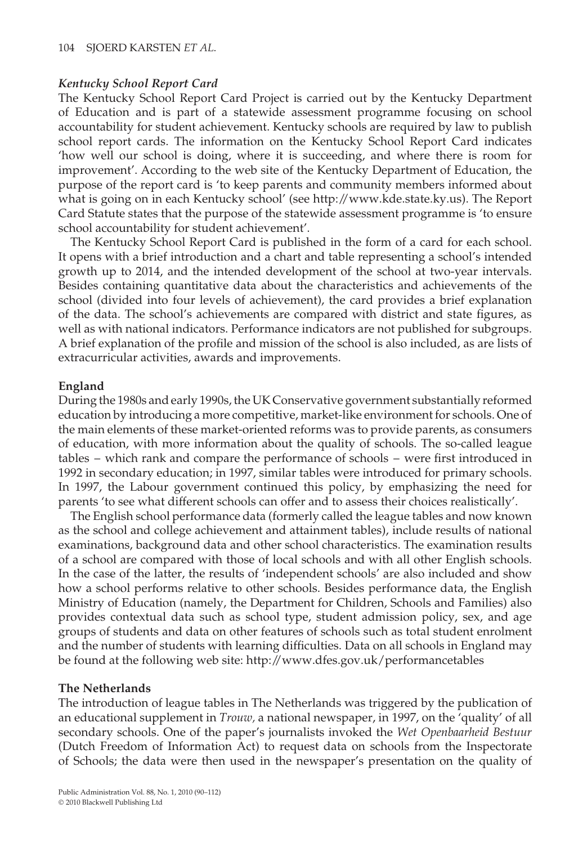### *Kentucky School Report Card*

The Kentucky School Report Card Project is carried out by the Kentucky Department of Education and is part of a statewide assessment programme focusing on school accountability for student achievement. Kentucky schools are required by law to publish school report cards. The information on the Kentucky School Report Card indicates 'how well our school is doing, where it is succeeding, and where there is room for improvement'. According to the web site of the Kentucky Department of Education, the purpose of the report card is 'to keep parents and community members informed about what is going on in each Kentucky school' (see http://www.kde.state.ky.us). The Report Card Statute states that the purpose of the statewide assessment programme is 'to ensure school accountability for student achievement'.

The Kentucky School Report Card is published in the form of a card for each school. It opens with a brief introduction and a chart and table representing a school's intended growth up to 2014, and the intended development of the school at two-year intervals. Besides containing quantitative data about the characteristics and achievements of the school (divided into four levels of achievement), the card provides a brief explanation of the data. The school's achievements are compared with district and state figures, as well as with national indicators. Performance indicators are not published for subgroups. A brief explanation of the profile and mission of the school is also included, as are lists of extracurricular activities, awards and improvements.

### **England**

During the 1980s and early 1990s, the UK Conservative government substantially reformed education by introducing a more competitive, market-like environment for schools. One of the main elements of these market-oriented reforms was to provide parents, as consumers of education, with more information about the quality of schools. The so-called league tables – which rank and compare the performance of schools – were first introduced in 1992 in secondary education; in 1997, similar tables were introduced for primary schools. In 1997, the Labour government continued this policy, by emphasizing the need for parents 'to see what different schools can offer and to assess their choices realistically'.

The English school performance data (formerly called the league tables and now known as the school and college achievement and attainment tables), include results of national examinations, background data and other school characteristics. The examination results of a school are compared with those of local schools and with all other English schools. In the case of the latter, the results of 'independent schools' are also included and show how a school performs relative to other schools. Besides performance data, the English Ministry of Education (namely, the Department for Children, Schools and Families) also provides contextual data such as school type, student admission policy, sex, and age groups of students and data on other features of schools such as total student enrolment and the number of students with learning difficulties. Data on all schools in England may be found at the following web site: http://www.dfes.gov.uk/performancetables

#### **The Netherlands**

The introduction of league tables in The Netherlands was triggered by the publication of an educational supplement in *Trouw,* a national newspaper, in 1997, on the 'quality' of all secondary schools. One of the paper's journalists invoked the *Wet Openbaarheid Bestuur* (Dutch Freedom of Information Act) to request data on schools from the Inspectorate of Schools; the data were then used in the newspaper's presentation on the quality of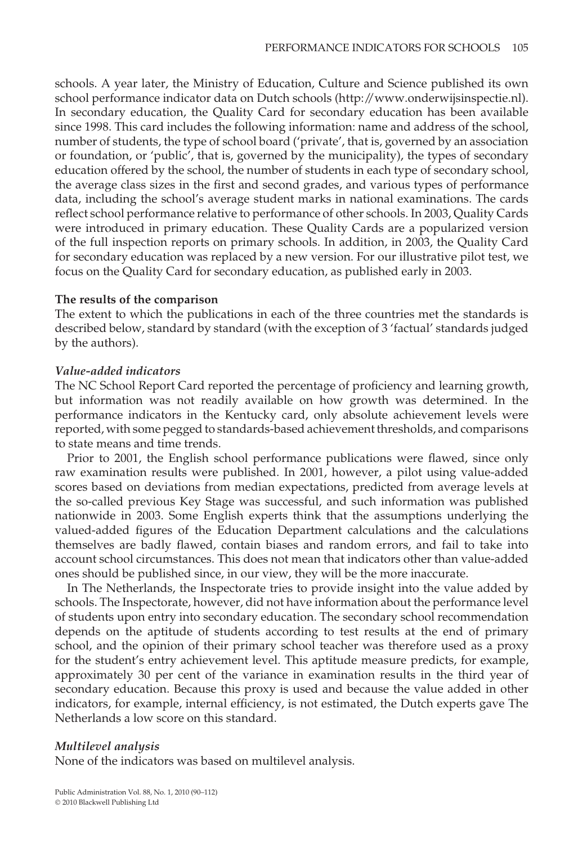schools. A year later, the Ministry of Education, Culture and Science published its own school performance indicator data on Dutch schools (http://www.onderwijsinspectie.nl). In secondary education, the Quality Card for secondary education has been available since 1998. This card includes the following information: name and address of the school, number of students, the type of school board ('private', that is, governed by an association or foundation, or 'public', that is, governed by the municipality), the types of secondary education offered by the school, the number of students in each type of secondary school, the average class sizes in the first and second grades, and various types of performance data, including the school's average student marks in national examinations. The cards reflect school performance relative to performance of other schools. In 2003, Quality Cards were introduced in primary education. These Quality Cards are a popularized version of the full inspection reports on primary schools. In addition, in 2003, the Quality Card for secondary education was replaced by a new version. For our illustrative pilot test, we focus on the Quality Card for secondary education, as published early in 2003.

### **The results of the comparison**

The extent to which the publications in each of the three countries met the standards is described below, standard by standard (with the exception of 3 'factual' standards judged by the authors).

### *Value-added indicators*

The NC School Report Card reported the percentage of proficiency and learning growth, but information was not readily available on how growth was determined. In the performance indicators in the Kentucky card, only absolute achievement levels were reported, with some pegged to standards-based achievement thresholds, and comparisons to state means and time trends.

Prior to 2001, the English school performance publications were flawed, since only raw examination results were published. In 2001, however, a pilot using value-added scores based on deviations from median expectations, predicted from average levels at the so-called previous Key Stage was successful, and such information was published nationwide in 2003. Some English experts think that the assumptions underlying the valued-added figures of the Education Department calculations and the calculations themselves are badly flawed, contain biases and random errors, and fail to take into account school circumstances. This does not mean that indicators other than value-added ones should be published since, in our view, they will be the more inaccurate.

In The Netherlands, the Inspectorate tries to provide insight into the value added by schools. The Inspectorate, however, did not have information about the performance level of students upon entry into secondary education. The secondary school recommendation depends on the aptitude of students according to test results at the end of primary school, and the opinion of their primary school teacher was therefore used as a proxy for the student's entry achievement level. This aptitude measure predicts, for example, approximately 30 per cent of the variance in examination results in the third year of secondary education. Because this proxy is used and because the value added in other indicators, for example, internal efficiency, is not estimated, the Dutch experts gave The Netherlands a low score on this standard.

### *Multilevel analysis*

None of the indicators was based on multilevel analysis.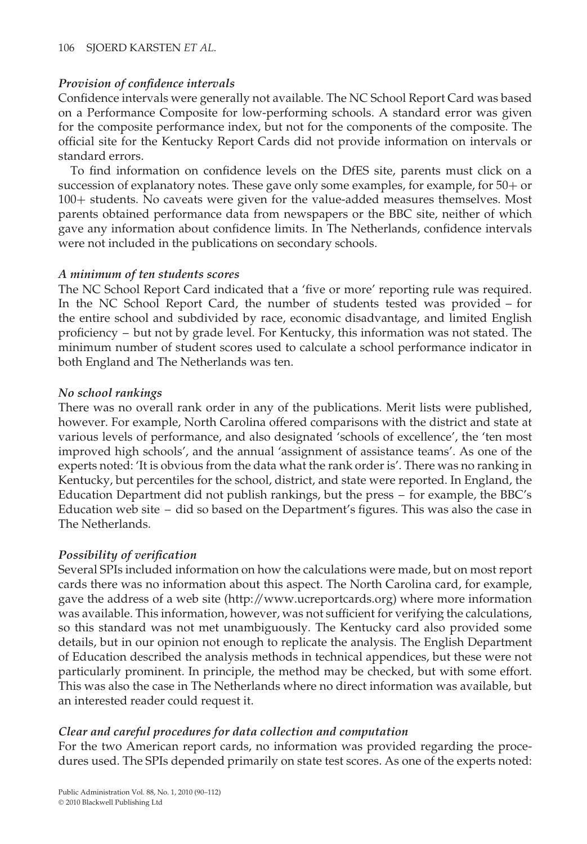# *Provision of confidence intervals*

Confidence intervals were generally not available. The NC School Report Card was based on a Performance Composite for low-performing schools. A standard error was given for the composite performance index, but not for the components of the composite. The official site for the Kentucky Report Cards did not provide information on intervals or standard errors.

To find information on confidence levels on the DfES site, parents must click on a succession of explanatory notes. These gave only some examples, for example, for 50+ or 100+ students. No caveats were given for the value-added measures themselves. Most parents obtained performance data from newspapers or the BBC site, neither of which gave any information about confidence limits. In The Netherlands, confidence intervals were not included in the publications on secondary schools.

# *A minimum of ten students scores*

The NC School Report Card indicated that a 'five or more' reporting rule was required. In the NC School Report Card, the number of students tested was provided – for the entire school and subdivided by race, economic disadvantage, and limited English proficiency – but not by grade level. For Kentucky, this information was not stated. The minimum number of student scores used to calculate a school performance indicator in both England and The Netherlands was ten.

# *No school rankings*

There was no overall rank order in any of the publications. Merit lists were published, however. For example, North Carolina offered comparisons with the district and state at various levels of performance, and also designated 'schools of excellence', the 'ten most improved high schools', and the annual 'assignment of assistance teams'. As one of the experts noted: 'It is obvious from the data what the rank order is'. There was no ranking in Kentucky, but percentiles for the school, district, and state were reported. In England, the Education Department did not publish rankings, but the press – for example, the BBC's Education web site – did so based on the Department's figures. This was also the case in The Netherlands.

# *Possibility of verification*

Several SPIs included information on how the calculations were made, but on most report cards there was no information about this aspect. The North Carolina card, for example, gave the address of a web site (http://www.ucreportcards.org) where more information was available. This information, however, was not sufficient for verifying the calculations, so this standard was not met unambiguously. The Kentucky card also provided some details, but in our opinion not enough to replicate the analysis. The English Department of Education described the analysis methods in technical appendices, but these were not particularly prominent. In principle, the method may be checked, but with some effort. This was also the case in The Netherlands where no direct information was available, but an interested reader could request it.

# *Clear and careful procedures for data collection and computation*

For the two American report cards, no information was provided regarding the procedures used. The SPIs depended primarily on state test scores. As one of the experts noted: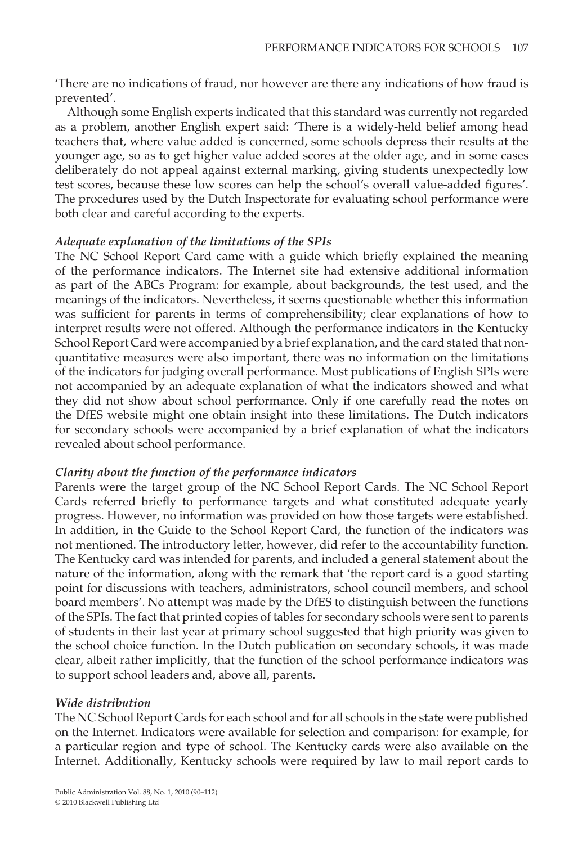'There are no indications of fraud, nor however are there any indications of how fraud is prevented'.

Although some English experts indicated that this standard was currently not regarded as a problem, another English expert said: 'There is a widely-held belief among head teachers that, where value added is concerned, some schools depress their results at the younger age, so as to get higher value added scores at the older age, and in some cases deliberately do not appeal against external marking, giving students unexpectedly low test scores, because these low scores can help the school's overall value-added figures'. The procedures used by the Dutch Inspectorate for evaluating school performance were both clear and careful according to the experts.

### *Adequate explanation of the limitations of the SPIs*

The NC School Report Card came with a guide which briefly explained the meaning of the performance indicators. The Internet site had extensive additional information as part of the ABCs Program: for example, about backgrounds, the test used, and the meanings of the indicators. Nevertheless, it seems questionable whether this information was sufficient for parents in terms of comprehensibility; clear explanations of how to interpret results were not offered. Although the performance indicators in the Kentucky School Report Card were accompanied by a brief explanation, and the card stated that nonquantitative measures were also important, there was no information on the limitations of the indicators for judging overall performance. Most publications of English SPIs were not accompanied by an adequate explanation of what the indicators showed and what they did not show about school performance. Only if one carefully read the notes on the DfES website might one obtain insight into these limitations. The Dutch indicators for secondary schools were accompanied by a brief explanation of what the indicators revealed about school performance.

#### *Clarity about the function of the performance indicators*

Parents were the target group of the NC School Report Cards. The NC School Report Cards referred briefly to performance targets and what constituted adequate yearly progress. However, no information was provided on how those targets were established. In addition, in the Guide to the School Report Card, the function of the indicators was not mentioned. The introductory letter, however, did refer to the accountability function. The Kentucky card was intended for parents, and included a general statement about the nature of the information, along with the remark that 'the report card is a good starting point for discussions with teachers, administrators, school council members, and school board members'. No attempt was made by the DfES to distinguish between the functions of the SPIs. The fact that printed copies of tables for secondary schools were sent to parents of students in their last year at primary school suggested that high priority was given to the school choice function. In the Dutch publication on secondary schools, it was made clear, albeit rather implicitly, that the function of the school performance indicators was to support school leaders and, above all, parents.

#### *Wide distribution*

The NC School Report Cards for each school and for all schools in the state were published on the Internet. Indicators were available for selection and comparison: for example, for a particular region and type of school. The Kentucky cards were also available on the Internet. Additionally, Kentucky schools were required by law to mail report cards to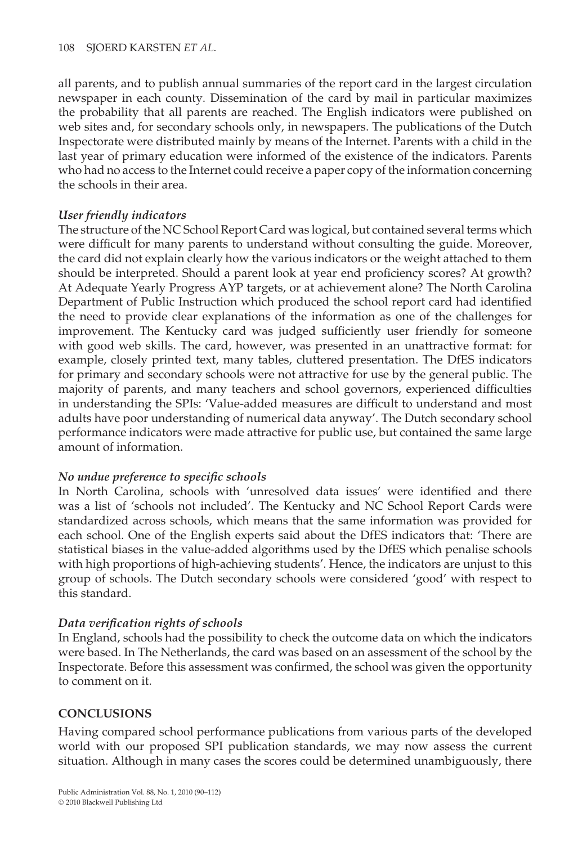all parents, and to publish annual summaries of the report card in the largest circulation newspaper in each county. Dissemination of the card by mail in particular maximizes the probability that all parents are reached. The English indicators were published on web sites and, for secondary schools only, in newspapers. The publications of the Dutch Inspectorate were distributed mainly by means of the Internet. Parents with a child in the last year of primary education were informed of the existence of the indicators. Parents who had no access to the Internet could receive a paper copy of the information concerning the schools in their area.

# *User friendly indicators*

The structure of the NC School Report Card was logical, but contained several terms which were difficult for many parents to understand without consulting the guide. Moreover, the card did not explain clearly how the various indicators or the weight attached to them should be interpreted. Should a parent look at year end proficiency scores? At growth? At Adequate Yearly Progress AYP targets, or at achievement alone? The North Carolina Department of Public Instruction which produced the school report card had identified the need to provide clear explanations of the information as one of the challenges for improvement. The Kentucky card was judged sufficiently user friendly for someone with good web skills. The card, however, was presented in an unattractive format: for example, closely printed text, many tables, cluttered presentation. The DfES indicators for primary and secondary schools were not attractive for use by the general public. The majority of parents, and many teachers and school governors, experienced difficulties in understanding the SPIs: 'Value-added measures are difficult to understand and most adults have poor understanding of numerical data anyway'. The Dutch secondary school performance indicators were made attractive for public use, but contained the same large amount of information.

# *No undue preference to specific schools*

In North Carolina, schools with 'unresolved data issues' were identified and there was a list of 'schools not included'. The Kentucky and NC School Report Cards were standardized across schools, which means that the same information was provided for each school. One of the English experts said about the DfES indicators that: 'There are statistical biases in the value-added algorithms used by the DfES which penalise schools with high proportions of high-achieving students'. Hence, the indicators are unjust to this group of schools. The Dutch secondary schools were considered 'good' with respect to this standard.

# *Data verification rights of schools*

In England, schools had the possibility to check the outcome data on which the indicators were based. In The Netherlands, the card was based on an assessment of the school by the Inspectorate. Before this assessment was confirmed, the school was given the opportunity to comment on it.

# **CONCLUSIONS**

Having compared school performance publications from various parts of the developed world with our proposed SPI publication standards, we may now assess the current situation. Although in many cases the scores could be determined unambiguously, there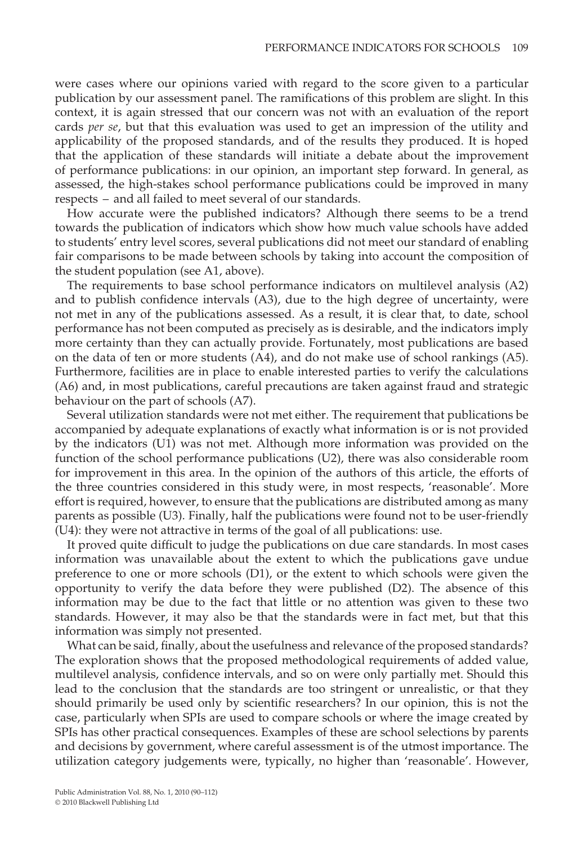were cases where our opinions varied with regard to the score given to a particular publication by our assessment panel. The ramifications of this problem are slight. In this context, it is again stressed that our concern was not with an evaluation of the report cards *per se*, but that this evaluation was used to get an impression of the utility and applicability of the proposed standards, and of the results they produced. It is hoped that the application of these standards will initiate a debate about the improvement of performance publications: in our opinion, an important step forward. In general, as assessed, the high-stakes school performance publications could be improved in many respects – and all failed to meet several of our standards.

How accurate were the published indicators? Although there seems to be a trend towards the publication of indicators which show how much value schools have added to students' entry level scores, several publications did not meet our standard of enabling fair comparisons to be made between schools by taking into account the composition of the student population (see A1, above).

The requirements to base school performance indicators on multilevel analysis (A2) and to publish confidence intervals (A3), due to the high degree of uncertainty, were not met in any of the publications assessed. As a result, it is clear that, to date, school performance has not been computed as precisely as is desirable, and the indicators imply more certainty than they can actually provide. Fortunately, most publications are based on the data of ten or more students (A4), and do not make use of school rankings (A5). Furthermore, facilities are in place to enable interested parties to verify the calculations (A6) and, in most publications, careful precautions are taken against fraud and strategic behaviour on the part of schools (A7).

Several utilization standards were not met either. The requirement that publications be accompanied by adequate explanations of exactly what information is or is not provided by the indicators (U1) was not met. Although more information was provided on the function of the school performance publications (U2), there was also considerable room for improvement in this area. In the opinion of the authors of this article, the efforts of the three countries considered in this study were, in most respects, 'reasonable'. More effort is required, however, to ensure that the publications are distributed among as many parents as possible (U3). Finally, half the publications were found not to be user-friendly (U4): they were not attractive in terms of the goal of all publications: use.

It proved quite difficult to judge the publications on due care standards. In most cases information was unavailable about the extent to which the publications gave undue preference to one or more schools (D1), or the extent to which schools were given the opportunity to verify the data before they were published (D2). The absence of this information may be due to the fact that little or no attention was given to these two standards. However, it may also be that the standards were in fact met, but that this information was simply not presented.

What can be said, finally, about the usefulness and relevance of the proposed standards? The exploration shows that the proposed methodological requirements of added value, multilevel analysis, confidence intervals, and so on were only partially met. Should this lead to the conclusion that the standards are too stringent or unrealistic, or that they should primarily be used only by scientific researchers? In our opinion, this is not the case, particularly when SPIs are used to compare schools or where the image created by SPIs has other practical consequences. Examples of these are school selections by parents and decisions by government, where careful assessment is of the utmost importance. The utilization category judgements were, typically, no higher than 'reasonable'. However,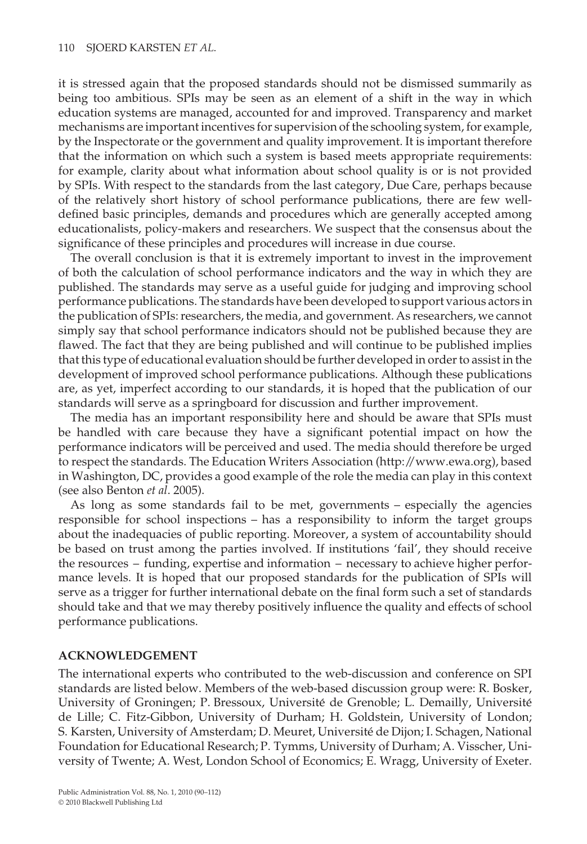it is stressed again that the proposed standards should not be dismissed summarily as being too ambitious. SPIs may be seen as an element of a shift in the way in which education systems are managed, accounted for and improved. Transparency and market mechanisms are important incentives for supervision of the schooling system, for example, by the Inspectorate or the government and quality improvement. It is important therefore that the information on which such a system is based meets appropriate requirements: for example, clarity about what information about school quality is or is not provided by SPIs. With respect to the standards from the last category, Due Care, perhaps because of the relatively short history of school performance publications, there are few welldefined basic principles, demands and procedures which are generally accepted among educationalists, policy-makers and researchers. We suspect that the consensus about the significance of these principles and procedures will increase in due course.

The overall conclusion is that it is extremely important to invest in the improvement of both the calculation of school performance indicators and the way in which they are published. The standards may serve as a useful guide for judging and improving school performance publications. The standards have been developed to support various actors in the publication of SPIs: researchers, the media, and government. As researchers, we cannot simply say that school performance indicators should not be published because they are flawed. The fact that they are being published and will continue to be published implies that this type of educational evaluation should be further developed in order to assist in the development of improved school performance publications. Although these publications are, as yet, imperfect according to our standards, it is hoped that the publication of our standards will serve as a springboard for discussion and further improvement.

The media has an important responsibility here and should be aware that SPIs must be handled with care because they have a significant potential impact on how the performance indicators will be perceived and used. The media should therefore be urged to respect the standards. The Education Writers Association (http://www.ewa.org), based in Washington, DC, provides a good example of the role the media can play in this context (see also Benton *et al*. 2005).

As long as some standards fail to be met, governments – especially the agencies responsible for school inspections – has a responsibility to inform the target groups about the inadequacies of public reporting. Moreover, a system of accountability should be based on trust among the parties involved. If institutions 'fail', they should receive the resources – funding, expertise and information – necessary to achieve higher performance levels. It is hoped that our proposed standards for the publication of SPIs will serve as a trigger for further international debate on the final form such a set of standards should take and that we may thereby positively influence the quality and effects of school performance publications.

### **ACKNOWLEDGEMENT**

The international experts who contributed to the web-discussion and conference on SPI standards are listed below. Members of the web-based discussion group were: R. Bosker, University of Groningen; P. Bressoux, Université de Grenoble; L. Demailly, Université de Lille; C. Fitz-Gibbon, University of Durham; H. Goldstein, University of London; S. Karsten, University of Amsterdam; D. Meuret, Universite de Dijon; I. Schagen, National ´ Foundation for Educational Research; P. Tymms, University of Durham; A. Visscher, University of Twente; A. West, London School of Economics; E. Wragg, University of Exeter.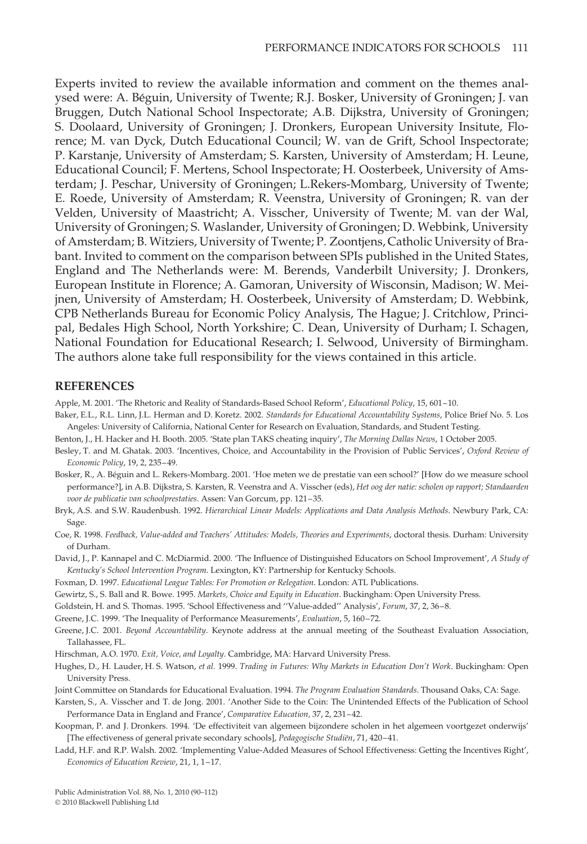Experts invited to review the available information and comment on the themes analysed were: A. Béguin, University of Twente; R.J. Bosker, University of Groningen; J. van Bruggen, Dutch National School Inspectorate; A.B. Dijkstra, University of Groningen; S. Doolaard, University of Groningen; J. Dronkers, European University Insitute, Florence; M. van Dyck, Dutch Educational Council; W. van de Grift, School Inspectorate; P. Karstanje, University of Amsterdam; S. Karsten, University of Amsterdam; H. Leune, Educational Council; F. Mertens, School Inspectorate; H. Oosterbeek, University of Amsterdam; J. Peschar, University of Groningen; L.Rekers-Mombarg, University of Twente; E. Roede, University of Amsterdam; R. Veenstra, University of Groningen; R. van der Velden, University of Maastricht; A. Visscher, University of Twente; M. van der Wal, University of Groningen; S. Waslander, University of Groningen; D. Webbink, University of Amsterdam; B. Witziers, University of Twente; P. Zoontjens, Catholic University of Brabant. Invited to comment on the comparison between SPIs published in the United States, England and The Netherlands were: M. Berends, Vanderbilt University; J. Dronkers, European Institute in Florence; A. Gamoran, University of Wisconsin, Madison; W. Meijnen, University of Amsterdam; H. Oosterbeek, University of Amsterdam; D. Webbink, CPB Netherlands Bureau for Economic Policy Analysis, The Hague; J. Critchlow, Principal, Bedales High School, North Yorkshire; C. Dean, University of Durham; I. Schagen, National Foundation for Educational Research; I. Selwood, University of Birmingham. The authors alone take full responsibility for the views contained in this article.

#### **REFERENCES**

- Apple, M. 2001. 'The Rhetoric and Reality of Standards-Based School Reform', *Educational Policy*, 15, 601–10.
- Baker, E.L., R.L. Linn, J.L. Herman and D. Koretz. 2002. *Standards for Educational Accountability Systems*, Police Brief No. 5. Los Angeles: University of California, National Center for Research on Evaluation, Standards, and Student Testing.
- Benton, J., H. Hacker and H. Booth. 2005. 'State plan TAKS cheating inquiry', *The Morning Dallas News*, 1 October 2005.
- Besley, T. and M. Ghatak. 2003. 'Incentives, Choice, and Accountability in the Provision of Public Services', *Oxford Review of Economic Policy*, 19, 2, 235–49.
- Bosker, R., A. Béguin and L. Rekers-Mombarg. 2001. 'Hoe meten we de prestatie van een school?' [How do we measure school performance?], in A.B. Dijkstra, S. Karsten, R. Veenstra and A. Visscher (eds), *Het oog der natie: scholen op rapport; Standaarden voor de publicatie van schoolprestaties*. Assen: Van Gorcum, pp. 121–35.
- Bryk, A.S. and S.W. Raudenbush. 1992. *Hierarchical Linear Models: Applications and Data Analysis Methods*. Newbury Park, CA: Sage.
- Coe, R. 1998. *Feedback, Value-added and Teachers' Attitudes: Models, Theories and Experiments*, doctoral thesis. Durham: University of Durham.
- David, J., P. Kannapel and C. McDiarmid. 2000. 'The Influence of Distinguished Educators on School Improvement', *A Study of Kentucky's School Intervention Program*. Lexington, KY: Partnership for Kentucky Schools.
- Foxman, D. 1997. *Educational League Tables: For Promotion or Relegation*. London: ATL Publications.
- Gewirtz, S., S. Ball and R. Bowe. 1995. *Markets, Choice and Equity in Education*. Buckingham: Open University Press.
- Goldstein, H. and S. Thomas. 1995. 'School Effectiveness and ''Value-added'' Analysis', *Forum*, 37, 2, 36–8.
- Greene, J.C. 1999. 'The Inequality of Performance Measurements', *Evaluation*, 5, 160–72.
- Greene, J.C. 2001. *Beyond Accountability*. Keynote address at the annual meeting of the Southeast Evaluation Association, Tallahassee, FL.
- Hirschman, A.O. 1970. *Exit, Voice, and Loyalty*. Cambridge, MA: Harvard University Press.
- Hughes, D., H. Lauder, H. S. Watson, *et al*. 1999. *Trading in Futures: Why Markets in Education Don't Work*. Buckingham: Open University Press.
- Joint Committee on Standards for Educational Evaluation. 1994. *The Program Evaluation Standards*. Thousand Oaks, CA: Sage.
- Karsten, S., A. Visscher and T. de Jong. 2001. 'Another Side to the Coin: The Unintended Effects of the Publication of School Performance Data in England and France', *Comparative Education,* 37, 2, 231–42.
- Koopman, P. and J. Dronkers. 1994. 'De effectiviteit van algemeen bijzondere scholen in het algemeen voortgezet onderwijs' [The effectiveness of general private secondary schools], *Pedagogische Studiën*, 71, 420-41.
- Ladd, H.F. and R.P. Walsh. 2002. 'Implementing Value-Added Measures of School Effectiveness: Getting the Incentives Right', *Economics of Education Review*, 21, 1, 1–17.